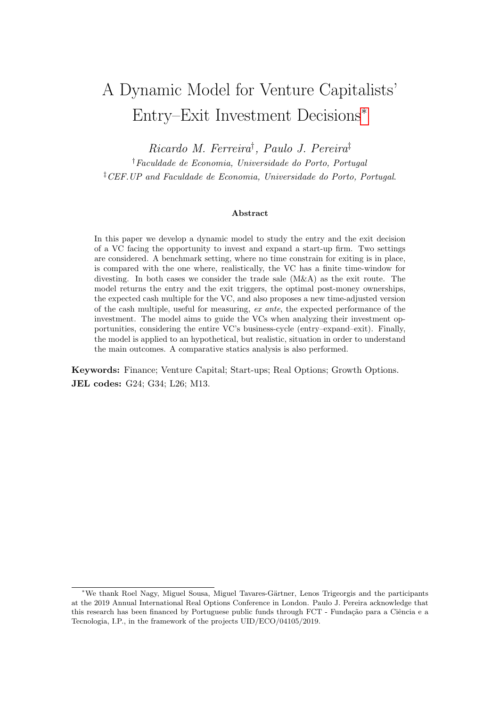# A Dynamic Model for Venture Capitalists' Entry–Exit Investment Decisions[∗](#page-0-0)

Ricardo M. Ferreira† , Paulo J. Pereira‡

†Faculdade de Economia, Universidade do Porto, Portugal ‡CEF.UP and Faculdade de Economia, Universidade do Porto, Portugal.

#### Abstract

In this paper we develop a dynamic model to study the entry and the exit decision of a VC facing the opportunity to invest and expand a start-up firm. Two settings are considered. A benchmark setting, where no time constrain for exiting is in place, is compared with the one where, realistically, the VC has a finite time-window for divesting. In both cases we consider the trade sale (M&A) as the exit route. The model returns the entry and the exit triggers, the optimal post-money ownerships, the expected cash multiple for the VC, and also proposes a new time-adjusted version of the cash multiple, useful for measuring, ex ante, the expected performance of the investment. The model aims to guide the VCs when analyzing their investment opportunities, considering the entire VC's business-cycle (entry–expand–exit). Finally, the model is applied to an hypothetical, but realistic, situation in order to understand the main outcomes. A comparative statics analysis is also performed.

Keywords: Finance; Venture Capital; Start-ups; Real Options; Growth Options. JEL codes: G24; G34; L26; M13.

<span id="page-0-0"></span><sup>∗</sup>We thank Roel Nagy, Miguel Sousa, Miguel Tavares-G¨artner, Lenos Trigeorgis and the participants at the 2019 Annual International Real Options Conference in London. Paulo J. Pereira acknowledge that this research has been financed by Portuguese public funds through FCT - Fundação para a Ciência e a Tecnologia, I.P., in the framework of the projects UID/ECO/04105/2019.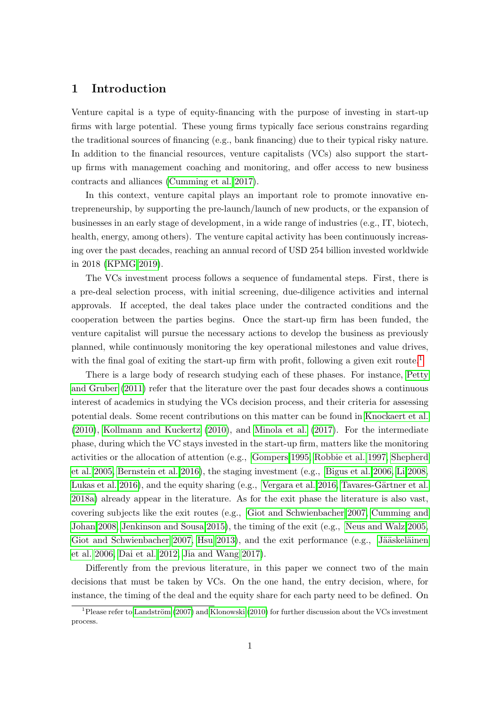## 1 Introduction

Venture capital is a type of equity-financing with the purpose of investing in start-up firms with large potential. These young firms typically face serious constrains regarding the traditional sources of financing (e.g., bank financing) due to their typical risky nature. In addition to the financial resources, venture capitalists (VCs) also support the startup firms with management coaching and monitoring, and offer access to new business contracts and alliances [\(Cumming et al. 2017\)](#page-20-0).

In this context, venture capital plays an important role to promote innovative entrepreneurship, by supporting the pre-launch/launch of new products, or the expansion of businesses in an early stage of development, in a wide range of industries (e.g., IT, biotech, health, energy, among others). The venture capital activity has been continuously increasing over the past decades, reaching an annual record of USD 254 billion invested worldwide in 2018 [\(KPMG 2019\)](#page-21-0).

The VCs investment process follows a sequence of fundamental steps. First, there is a pre-deal selection process, with initial screening, due-diligence activities and internal approvals. If accepted, the deal takes place under the contracted conditions and the cooperation between the parties begins. Once the start-up firm has been funded, the venture capitalist will pursue the necessary actions to develop the business as previously planned, while continuously monitoring the key operational milestones and value drives, with the final goal of exiting the start-up firm with profit, following a given exit route.<sup>[1](#page-1-0)</sup>

There is a large body of research studying each of these phases. For instance, [Petty](#page-22-0) [and Gruber](#page-22-0) [\(2011\)](#page-22-0) refer that the literature over the past four decades shows a continuous interest of academics in studying the VCs decision process, and their criteria for assessing potential deals. Some recent contributions on this matter can be found in [Knockaert et al.](#page-21-1) [\(2010\)](#page-21-1), [Kollmann and Kuckertz](#page-21-2) [\(2010\)](#page-21-2), and [Minola et al.](#page-22-1) [\(2017\)](#page-22-1). For the intermediate phase, during which the VC stays invested in the start-up firm, matters like the monitoring activities or the allocation of attention (e.g., [Gompers 1995,](#page-21-3) [Robbie et al. 1997,](#page-22-2) [Shepherd](#page-22-3) [et al. 2005,](#page-22-3) [Bernstein et al. 2016\)](#page-20-1), the staging investment (e.g., [Bigus et al. 2006,](#page-20-2) [Li 2008,](#page-22-4) [Lukas et al. 2016\)](#page-22-5), and the equity sharing (e.g., [Vergara et al. 2016,](#page-23-0) Tavares-Gärtner et al. [2018a\)](#page-23-1) already appear in the literature. As for the exit phase the literature is also vast, covering subjects like the exit routes (e.g., [Giot and Schwienbacher 2007,](#page-21-4) [Cumming and](#page-20-3) [Johan 2008,](#page-20-3) [Jenkinson and Sousa 2015\)](#page-21-5), the timing of the exit (e.g., [Neus and Walz 2005,](#page-22-6) [Giot and Schwienbacher 2007,](#page-21-4) [Hsu 2013\)](#page-21-6), and the exit performance  $(e.g., Jääskeläinen)$ [et al. 2006,](#page-21-7) [Dai et al. 2012,](#page-21-8) [Jia and Wang 2017\)](#page-21-9).

Differently from the previous literature, in this paper we connect two of the main decisions that must be taken by VCs. On the one hand, the entry decision, where, for instance, the timing of the deal and the equity share for each party need to be defined. On

<span id="page-1-0"></span> $1$ Please refer to Landström [\(2007\)](#page-22-7) and [Klonowski](#page-21-10) [\(2010\)](#page-21-10) for further discussion about the VCs investment process.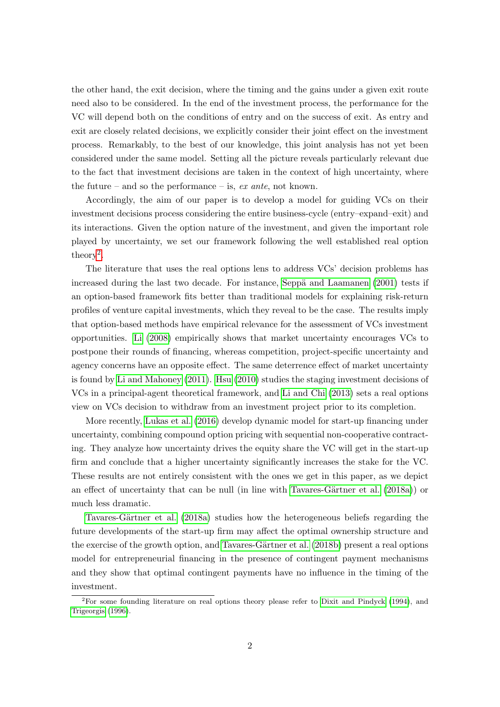the other hand, the exit decision, where the timing and the gains under a given exit route need also to be considered. In the end of the investment process, the performance for the VC will depend both on the conditions of entry and on the success of exit. As entry and exit are closely related decisions, we explicitly consider their joint effect on the investment process. Remarkably, to the best of our knowledge, this joint analysis has not yet been considered under the same model. Setting all the picture reveals particularly relevant due to the fact that investment decisions are taken in the context of high uncertainty, where the future – and so the performance – is,  $ex$  ante, not known.

Accordingly, the aim of our paper is to develop a model for guiding VCs on their investment decisions process considering the entire business-cycle (entry–expand–exit) and its interactions. Given the option nature of the investment, and given the important role played by uncertainty, we set our framework following the well established real option  $theory<sup>2</sup>$  $theory<sup>2</sup>$  $theory<sup>2</sup>$ .

The literature that uses the real options lens to address VCs' decision problems has increased during the last two decade. For instance, Seppä and Laamanen  $(2001)$  tests if an option-based framework fits better than traditional models for explaining risk-return profiles of venture capital investments, which they reveal to be the case. The results imply that option-based methods have empirical relevance for the assessment of VCs investment opportunities. [Li](#page-22-4) [\(2008\)](#page-22-4) empirically shows that market uncertainty encourages VCs to postpone their rounds of financing, whereas competition, project-specific uncertainty and agency concerns have an opposite effect. The same deterrence effect of market uncertainty is found by [Li and Mahoney](#page-22-9) [\(2011\)](#page-22-9). [Hsu](#page-21-11) [\(2010\)](#page-21-11) studies the staging investment decisions of VCs in a principal-agent theoretical framework, and [Li and Chi](#page-22-10) [\(2013\)](#page-22-10) sets a real options view on VCs decision to withdraw from an investment project prior to its completion.

More recently, [Lukas et al.](#page-22-5) [\(2016\)](#page-22-5) develop dynamic model for start-up financing under uncertainty, combining compound option pricing with sequential non-cooperative contracting. They analyze how uncertainty drives the equity share the VC will get in the start-up firm and conclude that a higher uncertainty significantly increases the stake for the VC. These results are not entirely consistent with the ones we get in this paper, as we depict an effect of uncertainty that can be null (in line with Tavares-Gärtner et al. [\(2018a\)](#page-23-1)) or much less dramatic.

Tavares-Gärtner et al. [\(2018a\)](#page-23-1) studies how the heterogeneous beliefs regarding the future developments of the start-up firm may affect the optimal ownership structure and the exercise of the growth option, and Tavares-Gärtner et al. [\(2018b\)](#page-23-2) present a real options model for entrepreneurial financing in the presence of contingent payment mechanisms and they show that optimal contingent payments have no influence in the timing of the investment.

<span id="page-2-0"></span><sup>2</sup>For some founding literature on real options theory please refer to [Dixit and Pindyck](#page-21-12) [\(1994\)](#page-21-12), and [Trigeorgis](#page-23-3) [\(1996\)](#page-23-3).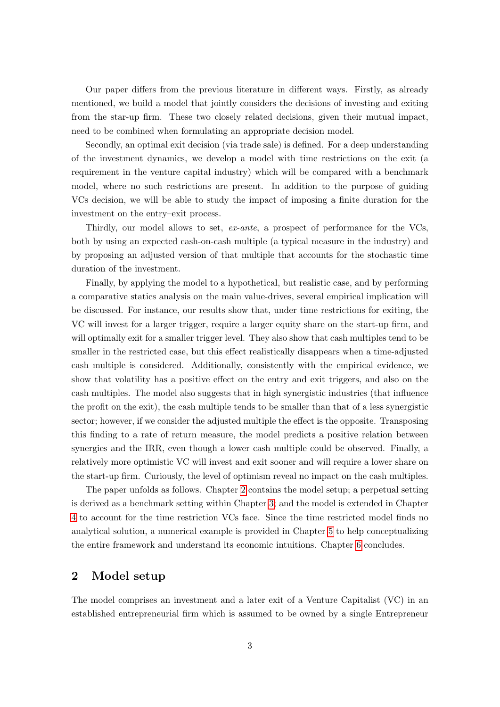Our paper differs from the previous literature in different ways. Firstly, as already mentioned, we build a model that jointly considers the decisions of investing and exiting from the star-up firm. These two closely related decisions, given their mutual impact, need to be combined when formulating an appropriate decision model.

Secondly, an optimal exit decision (via trade sale) is defined. For a deep understanding of the investment dynamics, we develop a model with time restrictions on the exit (a requirement in the venture capital industry) which will be compared with a benchmark model, where no such restrictions are present. In addition to the purpose of guiding VCs decision, we will be able to study the impact of imposing a finite duration for the investment on the entry–exit process.

Thirdly, our model allows to set, ex-ante, a prospect of performance for the VCs, both by using an expected cash-on-cash multiple (a typical measure in the industry) and by proposing an adjusted version of that multiple that accounts for the stochastic time duration of the investment.

Finally, by applying the model to a hypothetical, but realistic case, and by performing a comparative statics analysis on the main value-drives, several empirical implication will be discussed. For instance, our results show that, under time restrictions for exiting, the VC will invest for a larger trigger, require a larger equity share on the start-up firm, and will optimally exit for a smaller trigger level. They also show that cash multiples tend to be smaller in the restricted case, but this effect realistically disappears when a time-adjusted cash multiple is considered. Additionally, consistently with the empirical evidence, we show that volatility has a positive effect on the entry and exit triggers, and also on the cash multiples. The model also suggests that in high synergistic industries (that influence the profit on the exit), the cash multiple tends to be smaller than that of a less synergistic sector; however, if we consider the adjusted multiple the effect is the opposite. Transposing this finding to a rate of return measure, the model predicts a positive relation between synergies and the IRR, even though a lower cash multiple could be observed. Finally, a relatively more optimistic VC will invest and exit sooner and will require a lower share on the start-up firm. Curiously, the level of optimism reveal no impact on the cash multiples.

The paper unfolds as follows. Chapter [2](#page-3-0) contains the model setup; a perpetual setting is derived as a benchmark setting within Chapter [3;](#page-5-0) and the model is extended in Chapter [4](#page-11-0) to account for the time restriction VCs face. Since the time restricted model finds no analytical solution, a numerical example is provided in Chapter [5](#page-14-0) to help conceptualizing the entire framework and understand its economic intuitions. Chapter [6](#page-19-0) concludes.

# <span id="page-3-0"></span>2 Model setup

The model comprises an investment and a later exit of a Venture Capitalist (VC) in an established entrepreneurial firm which is assumed to be owned by a single Entrepreneur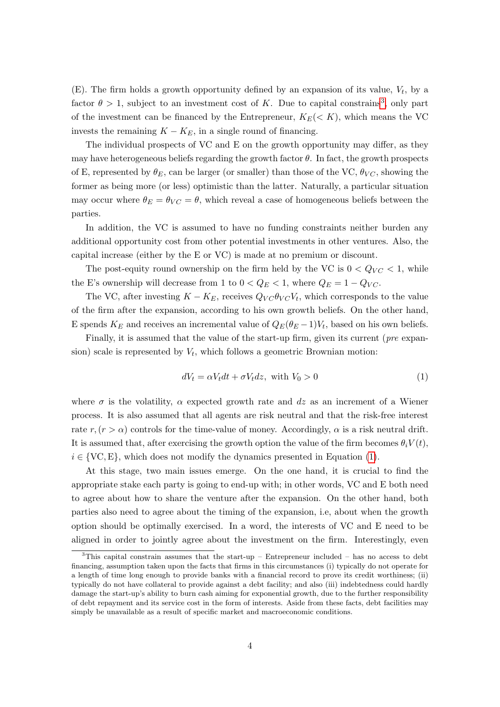(E). The firm holds a growth opportunity defined by an expansion of its value,  $V_t$ , by a factor  $\theta > 1$ , subject to an investment cost of K. Due to capital constrains<sup>[3](#page-4-0)</sup>, only part of the investment can be financed by the Entrepreneur,  $K_E(\langle K \rangle)$ , which means the VC invests the remaining  $K - K_E$ , in a single round of financing.

The individual prospects of VC and E on the growth opportunity may differ, as they may have heterogeneous beliefs regarding the growth factor  $\theta$ . In fact, the growth prospects of E, represented by  $\theta_E$ , can be larger (or smaller) than those of the VC,  $\theta_{VC}$ , showing the former as being more (or less) optimistic than the latter. Naturally, a particular situation may occur where  $\theta_E = \theta_{VC} = \theta$ , which reveal a case of homogeneous beliefs between the parties.

In addition, the VC is assumed to have no funding constraints neither burden any additional opportunity cost from other potential investments in other ventures. Also, the capital increase (either by the E or VC) is made at no premium or discount.

The post-equity round ownership on the firm held by the VC is  $0 < Q_{VC} < 1$ , while the E's ownership will decrease from 1 to  $0 < Q_E < 1$ , where  $Q_E = 1 - Q_{VC}$ .

The VC, after investing  $K - K_E$ , receives  $Q_{VC}\theta_{VC}V_t$ , which corresponds to the value of the firm after the expansion, according to his own growth beliefs. On the other hand, E spends  $K_E$  and receives an incremental value of  $Q_E(\theta_E-1)V_t$ , based on his own beliefs.

Finally, it is assumed that the value of the start-up firm, given its current (pre expansion) scale is represented by  $V_t$ , which follows a geometric Brownian motion:

<span id="page-4-1"></span>
$$
dV_t = \alpha V_t dt + \sigma V_t dz, \text{ with } V_0 > 0 \tag{1}
$$

where  $\sigma$  is the volatility,  $\alpha$  expected growth rate and dz as an increment of a Wiener process. It is also assumed that all agents are risk neutral and that the risk-free interest rate  $r, (r > \alpha)$  controls for the time-value of money. Accordingly,  $\alpha$  is a risk neutral drift. It is assumed that, after exercising the growth option the value of the firm becomes  $\theta_i V(t)$ ,  $i \in \{VC, E\}$ , which does not modify the dynamics presented in Equation [\(1\)](#page-4-1).

At this stage, two main issues emerge. On the one hand, it is crucial to find the appropriate stake each party is going to end-up with; in other words, VC and E both need to agree about how to share the venture after the expansion. On the other hand, both parties also need to agree about the timing of the expansion, i.e, about when the growth option should be optimally exercised. In a word, the interests of VC and E need to be aligned in order to jointly agree about the investment on the firm. Interestingly, even

<span id="page-4-0"></span><sup>&</sup>lt;sup>3</sup>This capital constrain assumes that the start-up – Entrepreneur included – has no access to debt financing, assumption taken upon the facts that firms in this circumstances (i) typically do not operate for a length of time long enough to provide banks with a financial record to prove its credit worthiness; (ii) typically do not have collateral to provide against a debt facility; and also (iii) indebtedness could hardly damage the start-up's ability to burn cash aiming for exponential growth, due to the further responsibility of debt repayment and its service cost in the form of interests. Aside from these facts, debt facilities may simply be unavailable as a result of specific market and macroeconomic conditions.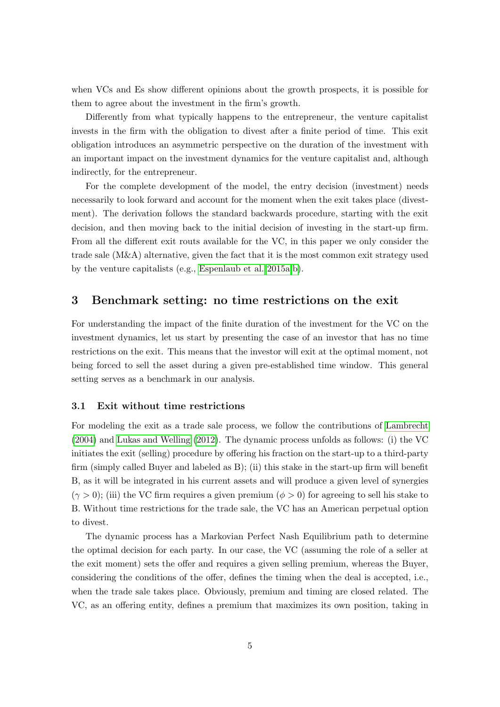when VCs and Es show different opinions about the growth prospects, it is possible for them to agree about the investment in the firm's growth.

Differently from what typically happens to the entrepreneur, the venture capitalist invests in the firm with the obligation to divest after a finite period of time. This exit obligation introduces an asymmetric perspective on the duration of the investment with an important impact on the investment dynamics for the venture capitalist and, although indirectly, for the entrepreneur.

For the complete development of the model, the entry decision (investment) needs necessarily to look forward and account for the moment when the exit takes place (divestment). The derivation follows the standard backwards procedure, starting with the exit decision, and then moving back to the initial decision of investing in the start-up firm. From all the different exit routs available for the VC, in this paper we only consider the trade sale (M&A) alternative, given the fact that it is the most common exit strategy used by the venture capitalists (e.g., [Espenlaub et al. 2015a](#page-21-13)[,b\)](#page-21-14).

## <span id="page-5-0"></span>3 Benchmark setting: no time restrictions on the exit

For understanding the impact of the finite duration of the investment for the VC on the investment dynamics, let us start by presenting the case of an investor that has no time restrictions on the exit. This means that the investor will exit at the optimal moment, not being forced to sell the asset during a given pre-established time window. This general setting serves as a benchmark in our analysis.

#### 3.1 Exit without time restrictions

For modeling the exit as a trade sale process, we follow the contributions of [Lambrecht](#page-22-11) [\(2004\)](#page-22-11) and [Lukas and Welling](#page-22-12) [\(2012\)](#page-22-12). The dynamic process unfolds as follows: (i) the VC initiates the exit (selling) procedure by offering his fraction on the start-up to a third-party firm (simply called Buyer and labeled as B); (ii) this stake in the start-up firm will benefit B, as it will be integrated in his current assets and will produce a given level of synergies  $(\gamma > 0)$ ; (iii) the VC firm requires a given premium  $(\phi > 0)$  for agreeing to sell his stake to B. Without time restrictions for the trade sale, the VC has an American perpetual option to divest.

The dynamic process has a Markovian Perfect Nash Equilibrium path to determine the optimal decision for each party. In our case, the VC (assuming the role of a seller at the exit moment) sets the offer and requires a given selling premium, whereas the Buyer, considering the conditions of the offer, defines the timing when the deal is accepted, i.e., when the trade sale takes place. Obviously, premium and timing are closed related. The VC, as an offering entity, defines a premium that maximizes its own position, taking in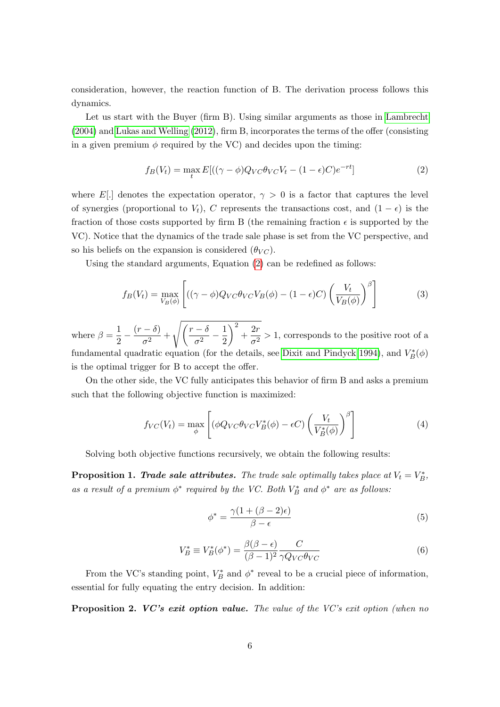consideration, however, the reaction function of B. The derivation process follows this dynamics.

Let us start with the Buyer (firm B). Using similar arguments as those in [Lambrecht](#page-22-11) [\(2004\)](#page-22-11) and [Lukas and Welling](#page-22-12) [\(2012\)](#page-22-12), firm B, incorporates the terms of the offer (consisting in a given premium  $\phi$  required by the VC) and decides upon the timing:

<span id="page-6-0"></span>
$$
f_B(V_t) = \max_t E[((\gamma - \phi)Q_{VC}\theta_{VC}V_t - (1 - \epsilon)C)e^{-rt}]
$$
\n(2)

where E[.] denotes the expectation operator,  $\gamma > 0$  is a factor that captures the level of synergies (proportional to  $V_t$ ), C represents the transactions cost, and  $(1 - \epsilon)$  is the fraction of those costs supported by firm B (the remaining fraction  $\epsilon$  is supported by the VC). Notice that the dynamics of the trade sale phase is set from the VC perspective, and so his beliefs on the expansion is considered  $(\theta_{VC})$ .

Using the standard arguments, Equation [\(2\)](#page-6-0) can be redefined as follows:

$$
f_B(V_t) = \max_{V_B(\phi)} \left[ ((\gamma - \phi)Q_{VC}\theta_{VC}V_B(\phi) - (1 - \epsilon)C) \left(\frac{V_t}{V_B(\phi)}\right)^{\beta} \right]
$$
(3)

where  $\beta = \frac{1}{2}$  $\frac{1}{2} - \frac{(r-\delta)}{\sigma^2}$  $\frac{(-\delta)}{\sigma^2} + \sqrt{\left(\frac{r-\delta}{\sigma^2}\right)}$  $\frac{\phantom{0}-\delta}{\sigma^2}-\frac{1}{2}$ 2  $\bigg\}^2 + \frac{2r}{2}$  $\frac{27}{\sigma^2} > 1$ , corresponds to the positive root of a fundamental quadratic equation (for the details, see [Dixit and Pindyck 1994\)](#page-21-12), and  $V_B^*(\phi)$ is the optimal trigger for B to accept the offer.

On the other side, the VC fully anticipates this behavior of firm B and asks a premium such that the following objective function is maximized:

$$
f_{VC}(V_t) = \max_{\phi} \left[ (\phi Q_{VC} \theta_{VC} V_B^*(\phi) - \epsilon C) \left( \frac{V_t}{V_B^*(\phi)} \right)^{\beta} \right]
$$
(4)

Solving both objective functions recursively, we obtain the following results:

**Proposition 1. Trade sale attributes.** The trade sale optimally takes place at  $V_t = V_B^*$ , as a result of a premium  $\phi^*$  required by the VC. Both  $V_B^*$  and  $\phi^*$  are as follows:

<span id="page-6-1"></span>
$$
\phi^* = \frac{\gamma (1 + (\beta - 2)\epsilon)}{\beta - \epsilon} \tag{5}
$$

<span id="page-6-2"></span>
$$
V_B^* \equiv V_B^*(\phi^*) = \frac{\beta(\beta - \epsilon)}{(\beta - 1)^2} \frac{C}{\gamma Q_{VC} \theta_{VC}} \tag{6}
$$

From the VC's standing point,  $V_B^*$  and  $\phi^*$  reveal to be a crucial piece of information, essential for fully equating the entry decision. In addition:

**Proposition 2. VC's exit option value.** The value of the VC's exit option (when no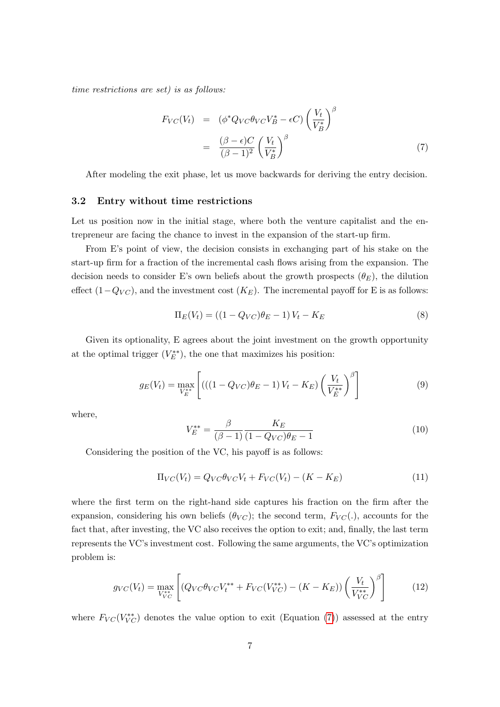time restrictions are set) is as follows:

<span id="page-7-0"></span>
$$
F_{VC}(V_t) = (\phi^* Q_{VC} \theta_{VC} V_B^* - \epsilon C) \left(\frac{V_t}{V_B^*}\right)^{\beta}
$$

$$
= \frac{(\beta - \epsilon)C}{(\beta - 1)^2} \left(\frac{V_t}{V_B^*}\right)^{\beta} \tag{7}
$$

After modeling the exit phase, let us move backwards for deriving the entry decision.

#### 3.2 Entry without time restrictions

Let us position now in the initial stage, where both the venture capitalist and the entrepreneur are facing the chance to invest in the expansion of the start-up firm.

From E's point of view, the decision consists in exchanging part of his stake on the start-up firm for a fraction of the incremental cash flows arising from the expansion. The decision needs to consider E's own beliefs about the growth prospects  $(\theta_E)$ , the dilution effect  $(1-Q_{VC})$ , and the investment cost  $(K_E)$ . The incremental payoff for E is as follows:

$$
\Pi_E(V_t) = ((1 - Q_{VC})\theta_E - 1)V_t - K_E
$$
\n(8)

Given its optionality, E agrees about the joint investment on the growth opportunity at the optimal trigger  $(V_E^{**})$ , the one that maximizes his position:

$$
g_E(V_t) = \max_{V_E^{**}} \left[ \left( \left( (1 - Q_{VC})\theta_E - 1 \right) V_t - K_E \right) \left( \frac{V_t}{V_E^{**}} \right)^{\beta} \right] \tag{9}
$$

where,

<span id="page-7-2"></span>
$$
V_E^{**} = \frac{\beta}{(\beta - 1)} \frac{K_E}{(1 - Q_{VC})\theta_E - 1}
$$
(10)

Considering the position of the VC, his payoff is as follows:

$$
\Pi_{VC}(V_t) = Q_{VC}\theta_{VC}V_t + F_{VC}(V_t) - (K - K_E)
$$
\n(11)

where the first term on the right-hand side captures his fraction on the firm after the expansion, considering his own beliefs  $(\theta_{VC})$ ; the second term,  $F_{VC}(.)$ , accounts for the fact that, after investing, the VC also receives the option to exit; and, finally, the last term represents the VC's investment cost. Following the same arguments, the VC's optimization problem is:

<span id="page-7-1"></span>
$$
g_{VC}(V_t) = \max_{V_{VC}^{**}} \left[ \left( Q_{VC} \theta_{VC} V_t^{**} + F_{VC} (V_{VC}^{**}) - (K - K_E) \right) \left( \frac{V_t}{V_{VC}^{**}} \right)^{\beta} \right] \tag{12}
$$

where  $F_{VC}(V_{VC}^{**})$  denotes the value option to exit (Equation [\(7\)](#page-7-0)) assessed at the entry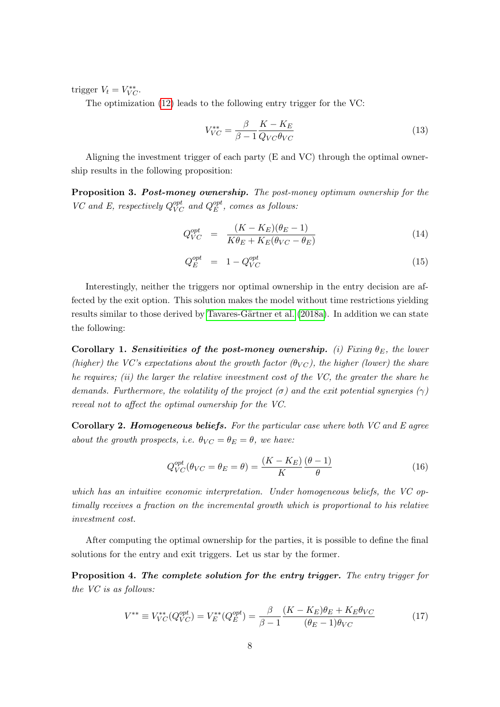trigger  $V_t = V_{VC}^{**}$ .

The optimization [\(12\)](#page-7-1) leads to the following entry trigger for the VC:

$$
V_{VC}^{**} = \frac{\beta}{\beta - 1} \frac{K - K_E}{Q_{VC}\theta_{VC}}\tag{13}
$$

Aligning the investment trigger of each party (E and VC) through the optimal ownership results in the following proposition:

Proposition 3. Post-money ownership. The post-money optimum ownership for the VC and E, respectively  $Q_{VC}^{opt}$  and  $Q_{E}^{opt}$  $_{E}^{opt}, \ comes \ as \ follows:$ 

<span id="page-8-1"></span>
$$
Q_{VC}^{opt} = \frac{(K - K_E)(\theta_E - 1)}{K\theta_E + K_E(\theta_{VC} - \theta_E)}\tag{14}
$$

$$
Q_E^{opt} = 1 - Q_{VC}^{opt} \tag{15}
$$

Interestingly, neither the triggers nor optimal ownership in the entry decision are affected by the exit option. This solution makes the model without time restrictions yielding results similar to those derived by Tavares-Gärtner et al. [\(2018a\)](#page-23-1). In addition we can state the following:

Corollary 1. Sensitivities of the post-money ownership. (i) Fixing  $\theta_E$ , the lower (higher) the VC's expectations about the growth factor  $(\theta_{VC})$ , the higher (lower) the share he requires; (ii) the larger the relative investment cost of the  $VC$ , the greater the share he demands. Furthermore, the volatility of the project  $(\sigma)$  and the exit potential synergies  $(\gamma)$ reveal not to affect the optimal ownership for the VC.

**Corollary 2. Homogeneous beliefs.** For the particular case where both  $VC$  and  $E$  agree about the growth prospects, i.e.  $\theta_{VC} = \theta_E = \theta$ , we have:

$$
Q_{VC}^{opt}(\theta_{VC} = \theta_E = \theta) = \frac{(K - K_E)}{K} \frac{(\theta - 1)}{\theta}
$$
\n(16)

which has an intuitive economic interpretation. Under homogeneous beliefs, the VC optimally receives a fraction on the incremental growth which is proportional to his relative investment cost.

After computing the optimal ownership for the parties, it is possible to define the final solutions for the entry and exit triggers. Let us star by the former.

Proposition 4. The complete solution for the entry trigger. The entry trigger for the VC is as follows:

<span id="page-8-0"></span>
$$
V^{**} \equiv V_{VC}^{**}(Q_{VC}^{opt}) = V_E^{**}(Q_E^{opt}) = \frac{\beta}{\beta - 1} \frac{(K - K_E)\theta_E + K_E \theta_{VC}}{(\theta_E - 1)\theta_{VC}}
$$
(17)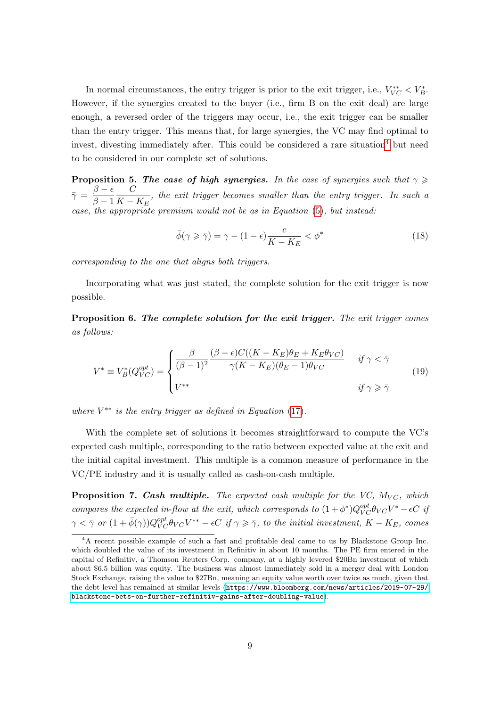In normal circumstances, the entry trigger is prior to the exit trigger, i.e.,  $V_{VC}^{**} < V_B^*$ . However, if the synergies created to the buyer (i.e., firm B on the exit deal) are large enough, a reversed order of the triggers may occur, i.e., the exit trigger can be smaller than the entry trigger. This means that, for large synergies, the VC may find optimal to invest, divesting immediately after. This could be considered a rare situation<sup>[4](#page-9-0)</sup> but need to be considered in our complete set of solutions.

**Proposition 5. The case of high synergies.** In the case of synergies such that  $\gamma \geq$  $\bar{\gamma} = \frac{\beta - \epsilon}{\beta - 1}$  $\beta-1$  $\mathcal{C}_{0}^{(n)}$  $\frac{C}{K - K_E}$ , the exit trigger becomes smaller than the entry trigger. In such a case, the appropriate premium would not be as in Equation [\(5\)](#page-6-1), but instead:

$$
\bar{\phi}(\gamma \geqslant \bar{\gamma}) = \gamma - (1 - \epsilon) \frac{c}{K - K_E} < \phi^* \tag{18}
$$

corresponding to the one that aligns both triggers.

Incorporating what was just stated, the complete solution for the exit trigger is now possible.

Proposition 6. The complete solution for the exit trigger. The exit trigger comes as follows:

$$
V^* \equiv V_B^*(Q_{VC}^{opt}) = \begin{cases} \frac{\beta}{(\beta - 1)^2} \frac{(\beta - \epsilon)C((K - K_E)\theta_E + K_E\theta_{VC})}{\gamma(K - K_E)(\theta_E - 1)\theta_{VC}} & \text{if } \gamma < \bar{\gamma} \\ V^{**} & \text{if } \gamma \geq \bar{\gamma} \end{cases} \tag{19}
$$

where  $V^{**}$  is the entry trigger as defined in Equation [\(17\)](#page-8-0).

With the complete set of solutions it becomes straightforward to compute the VC's expected cash multiple, corresponding to the ratio between expected value at the exit and the initial capital investment. This multiple is a common measure of performance in the VC/PE industry and it is usually called as cash-on-cash multiple.

**Proposition 7. Cash multiple.** The expected cash multiple for the VC,  $M_{VC}$ , which compares the expected in-flow at the exit, which corresponds to  $(1+\phi^*)Q_{VC}^{opt}\theta_{VC}V^* - \epsilon C$  if  $\gamma < \bar{\gamma}$  or  $(1 + \bar{\phi}(\gamma))Q^{opt}_{VC}\theta_{VC}V^{**} - \epsilon C$  if  $\gamma \geq \bar{\gamma}$ , to the initial investment,  $K - K_E$ , comes

<span id="page-9-0"></span><sup>4</sup>A recent possible example of such a fast and profitable deal came to us by Blackstone Group Inc. which doubled the value of its investment in Refinitiv in about 10 months. The PE firm entered in the capital of Refinitiv, a Thomson Reuters Corp. company, at a highly levered \$20Bn investment of which about \$6.5 billion was equity. The business was almost immediately sold in a merger deal with London Stock Exchange, raising the value to \$27Bn, meaning an equity value worth over twice as much, given that the debt level has remained at similar levels ([https://www.bloomberg.com/news/articles/2019-07-29/](https://www.bloomberg.com/news/articles/2019-07-29/blackstone-bets-on-further-refinitiv-gains-after-doubling-value) [blackstone-bets-on-further-refinitiv-gains-after-doubling-value](https://www.bloomberg.com/news/articles/2019-07-29/blackstone-bets-on-further-refinitiv-gains-after-doubling-value)).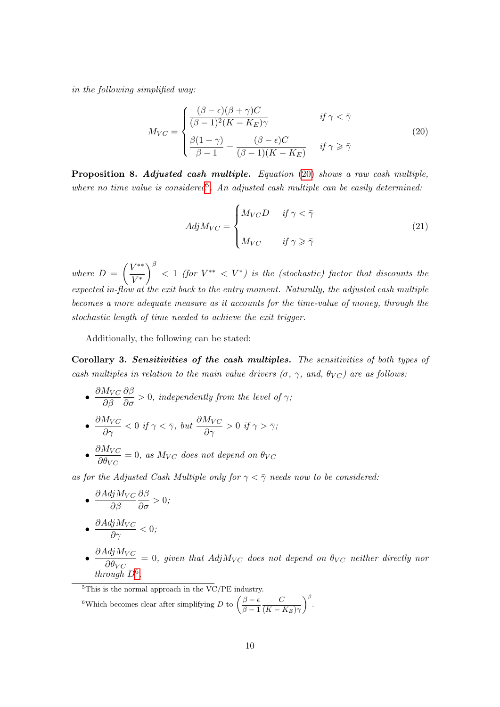in the following simplified way:

<span id="page-10-0"></span>
$$
M_{VC} = \begin{cases} \frac{(\beta - \epsilon)(\beta + \gamma)C}{(\beta - 1)^2 (K - K_E)\gamma} & \text{if } \gamma < \bar{\gamma} \\ \frac{\beta(1 + \gamma)}{\beta - 1} - \frac{(\beta - \epsilon)C}{(\beta - 1)(K - K_E)} & \text{if } \gamma \geq \bar{\gamma} \end{cases}
$$
(20)

Proposition 8. Adjusted cash multiple. Equation [\(20\)](#page-10-0) shows a raw cash multiple, where no time value is considered<sup>[5](#page-10-1)</sup>. An adjusted cash multiple can be easily determined:

$$
AdjM_{VC} = \begin{cases} M_{VC}D & \text{if } \gamma < \bar{\gamma} \\ M_{VC} & \text{if } \gamma \geq \bar{\gamma} \end{cases}
$$
 (21)

where  $D = \left(\frac{V^{**}}{V^{*}}\right)$  $V^*$  $\int_{0}^{\beta}$  < 1 (for  $V^{**}$  <  $V^{*}$ ) is the (stochastic) factor that discounts the expected in-flow at the exit back to the entry moment. Naturally, the adjusted cash multiple becomes a more adequate measure as it accounts for the time-value of money, through the stochastic length of time needed to achieve the exit trigger.

Additionally, the following can be stated:

Corollary 3. Sensitivities of the cash multiples. The sensitivities of both types of cash multiples in relation to the main value drivers  $(\sigma, \gamma, \text{ and}, \theta_{VC})$  are as follows:

- $\bullet$   $\frac{\partial M_{VC}}{\partial \theta}$  $\partial \beta$  $\frac{\partial \beta}{\partial \sigma}>0,$  independently from the level of  $\gamma;$
- $\bullet~~\frac{\partial M_{VC}}{\partial \gamma}<0~~if~ \gamma<\bar{\gamma}, ~but~\frac{\partial M_{VC}}{\partial \gamma}>0~~if~ \gamma>\bar{\gamma};$
- $\bullet$   $\frac{\partial M_{VC}}{\partial \theta}$  $\frac{\partial H_{VC}}{\partial \theta_{VC}} = 0$ , as  $M_{VC}$  does not depend on  $\theta_{VC}$

as for the Adjusted Cash Multiple only for  $\gamma < \overline{\gamma}$  needs now to be considered:

• 
$$
\frac{\partial Adj M_{VC}}{\partial \beta} \frac{\partial \beta}{\partial \sigma} > 0;
$$
  
• 
$$
\frac{\partial Adj M_{VC}}{\partial \gamma} < 0;
$$

- 
- $\bullet$   $\frac{\partial AdjM_{VC}}{\partial \theta}$  $\frac{\partial \phi_{V}}{\partial \theta_{V}} = 0$ , given that  $AdjM_{VC}$  does not depend on  $\theta_{VC}$  neither directly nor through  $D^6$  $D^6$ .

<span id="page-10-2"></span><span id="page-10-1"></span> $5$ This is the normal approach in the VC/PE industry. <sup>6</sup>Which becomes clear after simplifying D to  $\left(\frac{\beta-\epsilon}{\beta-1}\right)$  $\beta - 1$  $\mathcal{C}_{0}^{(n)}$  $(K - K_E)\gamma$  $\int_{0}^{\beta}$ .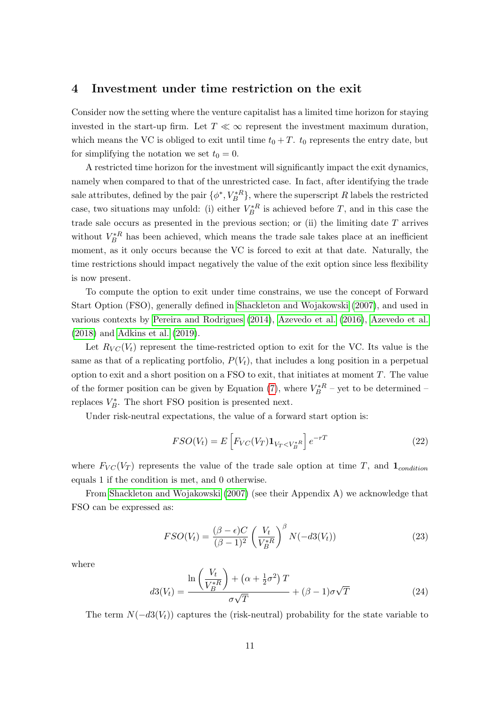### <span id="page-11-0"></span>4 Investment under time restriction on the exit

Consider now the setting where the venture capitalist has a limited time horizon for staying invested in the start-up firm. Let  $T \ll \infty$  represent the investment maximum duration, which means the VC is obliged to exit until time  $t_0 + T$ .  $t_0$  represents the entry date, but for simplifying the notation we set  $t_0 = 0$ .

A restricted time horizon for the investment will significantly impact the exit dynamics, namely when compared to that of the unrestricted case. In fact, after identifying the trade sale attributes, defined by the pair  $\{\phi^*, V_B^*{}^R\}$ , where the superscript R labels the restricted case, two situations may unfold: (i) either  $V_B^*$  is achieved before T, and in this case the trade sale occurs as presented in the previous section; or (ii) the limiting date  $T$  arrives without  $V_B^*$ <sup>R</sup> has been achieved, which means the trade sale takes place at an inefficient moment, as it only occurs because the VC is forced to exit at that date. Naturally, the time restrictions should impact negatively the value of the exit option since less flexibility is now present.

To compute the option to exit under time constrains, we use the concept of Forward Start Option (FSO), generally defined in [Shackleton and Wojakowski](#page-22-13) [\(2007\)](#page-22-13), and used in various contexts by [Pereira and Rodrigues](#page-22-14) [\(2014\)](#page-22-14), [Azevedo et al.](#page-20-4) [\(2016\)](#page-20-4), [Azevedo et al.](#page-20-5) [\(2018\)](#page-20-5) and [Adkins et al.](#page-20-6) [\(2019\)](#page-20-6).

Let  $R_{VC}(V_t)$  represent the time-restricted option to exit for the VC. Its value is the same as that of a replicating portfolio,  $P(V_t)$ , that includes a long position in a perpetual option to exit and a short position on a FSO to exit, that initiates at moment  $T$ . The value of the former position can be given by Equation [\(7\)](#page-7-0), where  $V_B^*{}^R$  – yet to be determined – replaces  $V_B^*$ . The short FSO position is presented next.

Under risk-neutral expectations, the value of a forward start option is:

$$
FSO(V_t) = E\left[F_{VC}(V_T)\mathbf{1}_{V_T < V_B^{*R}}\right]e^{-rT}
$$
\n(22)

where  $F_{VC}(V_T)$  represents the value of the trade sale option at time T, and  $\mathbf{1}_{condition}$ equals 1 if the condition is met, and 0 otherwise.

From [Shackleton and Wojakowski](#page-22-13) [\(2007\)](#page-22-13) (see their Appendix A) we acknowledge that FSO can be expressed as:

$$
FSO(V_t) = \frac{(\beta - \epsilon)C}{(\beta - 1)^2} \left(\frac{V_t}{V_B^{*R}}\right)^{\beta} N(-d3(V_t))
$$
\n(23)

where

$$
d3(V_t) = \frac{\ln\left(\frac{V_t}{V_B^*R}\right) + \left(\alpha + \frac{1}{2}\sigma^2\right)T}{\sigma\sqrt{T}} + (\beta - 1)\sigma\sqrt{T}
$$
(24)

The term  $N(-d3(V<sub>t</sub>))$  captures the (risk-neutral) probability for the state variable to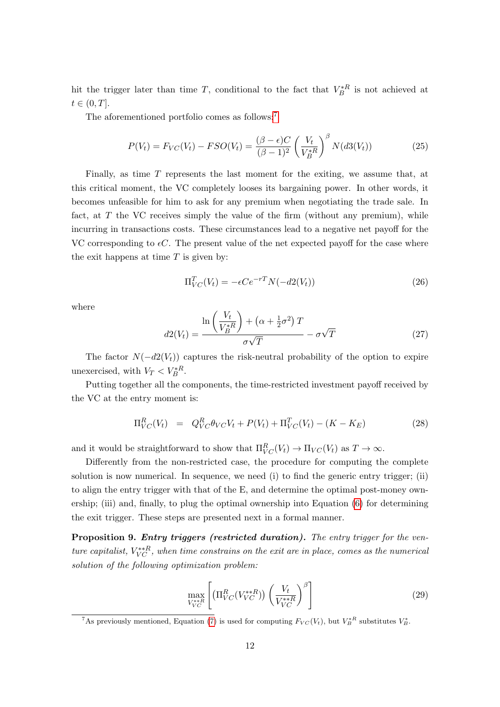hit the trigger later than time T, conditional to the fact that  $V_B^{*R}$  is not achieved at  $t \in (0, T].$ 

The aforementioned portfolio comes as follows:<sup>[7](#page-12-0)</sup>

$$
P(V_t) = F_{VC}(V_t) - FSO(V_t) = \frac{(\beta - \epsilon)C}{(\beta - 1)^2} \left(\frac{V_t}{V_B^{*R}}\right)^{\beta} N(d3(V_t))
$$
\n(25)

Finally, as time T represents the last moment for the exiting, we assume that, at this critical moment, the VC completely looses its bargaining power. In other words, it becomes unfeasible for him to ask for any premium when negotiating the trade sale. In fact, at  $T$  the VC receives simply the value of the firm (without any premium), while incurring in transactions costs. These circumstances lead to a negative net payoff for the VC corresponding to  $\epsilon C$ . The present value of the net expected payoff for the case where the exit happens at time  $T$  is given by:

$$
\Pi_{VC}^T(V_t) = -\epsilon C e^{-rT} N(-d2(V_t))
$$
\n(26)

where

$$
d2(V_t) = \frac{\ln\left(\frac{V_t}{V_B^{*R}}\right) + \left(\alpha + \frac{1}{2}\sigma^2\right)T}{\sigma\sqrt{T}} - \sigma\sqrt{T}
$$
\n(27)

The factor  $N(-d2(V_t))$  captures the risk-neutral probability of the option to expire unexercised, with  $V_T < V_B^{*R}$ .

Putting together all the components, the time-restricted investment payoff received by the VC at the entry moment is:

$$
\Pi_{VC}^R(V_t) = Q_{VC}^R \theta_{VC} V_t + P(V_t) + \Pi_{VC}^T(V_t) - (K - K_E)
$$
\n(28)

and it would be straightforward to show that  $\Pi_{VC}^R(V_t) \to \Pi_{VC}(V_t)$  as  $T \to \infty$ .

Differently from the non-restricted case, the procedure for computing the complete solution is now numerical. In sequence, we need (i) to find the generic entry trigger; (ii) to align the entry trigger with that of the E, and determine the optimal post-money ownership; (iii) and, finally, to plug the optimal ownership into Equation [\(6\)](#page-6-2) for determining the exit trigger. These steps are presented next in a formal manner.

Proposition 9. Entry triggers (restricted duration). The entry trigger for the venture capitalist,  $V_{VC}^{*,R}$ , when time constrains on the exit are in place, comes as the numerical solution of the following optimization problem:

<span id="page-12-1"></span>
$$
\max_{V_{VC}^{**R}} \left[ \left( \Pi_{VC}^R (V_{VC}^{**R}) \right) \left( \frac{V_t}{V_{VC}^{**R}} \right)^{\beta} \right] \tag{29}
$$

<span id="page-12-0"></span><sup>&</sup>lt;sup>7</sup>As previously mentioned, Equation [\(7\)](#page-7-0) is used for computing  $F_{VC}(V_t)$ , but  $V_B^*$ <sup>R</sup> substitutes  $V_B^*$ .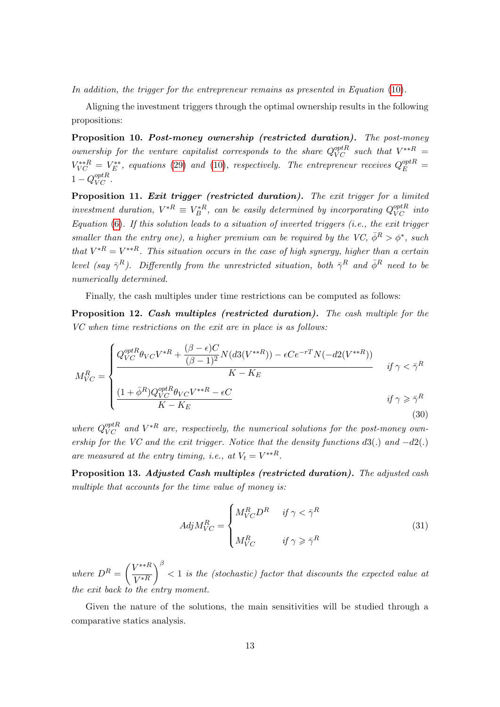In addition, the trigger for the entrepreneur remains as presented in Equation [\(10\)](#page-7-2).

Aligning the investment triggers through the optimal ownership results in the following propositions:

Proposition 10. Post-money ownership (restricted duration). The post-money ownership for the venture capitalist corresponds to the share  $Q_{VC}^{optR}$  such that  $V^{**R}$  =  $V_{VC}^{**R} = V_E^{**}$ , equations [\(29\)](#page-12-1) and [\(10\)](#page-7-2), respectively. The entrepreneur receives  $Q_E^{optR} =$  $1 - Q_{VC}^{optR}$ .

Proposition 11. Exit trigger (restricted duration). The exit trigger for a limited investment duration,  $V^{*R} \equiv V_B^{*R}$ , can be easily determined by incorporating  $Q_{VC}^{optR}$  into Equation  $(6)$ . If this solution leads to a situation of inverted triggers (i.e., the exit trigger smaller than the entry one), a higher premium can be required by the VC,  $\bar{\phi}^R > \phi^*$ , such that  $V^{*R} = V^{**R}$ . This situation occurs in the case of high synergy, higher than a certain level (say  $\bar{\gamma}^R$ ). Differently from the unrestricted situation, both  $\bar{\gamma}^R$  and  $\bar{\phi}^R$  need to be numerically determined.

Finally, the cash multiples under time restrictions can be computed as follows:

Proposition 12. Cash multiples (restricted duration). The cash multiple for the VC when time restrictions on the exit are in place is as follows:

<span id="page-13-0"></span>
$$
M_{VC}^R = \begin{cases} Q_{VC}^{optR} \theta_{VC} V^{*R} + \frac{(\beta - \epsilon)C}{(\beta - 1)^2} N(d3(V^{**R})) - \epsilon C e^{-rT} N(-d2(V^{**R})) \\ \frac{K - K_E}{K - K_E} \end{cases} \quad \text{if } \gamma < \bar{\gamma}^R \quad \text{if } \gamma \ge \bar{\gamma}^R \quad \text{if } \gamma \ge \bar{\gamma}^R \quad \text{(30)}
$$

where  $Q_{VC}^{optR}$  and  $V^{*R}$  are, respectively, the numerical solutions for the post-money ownership for the VC and the exit trigger. Notice that the density functions  $d3(.)$  and  $-d2(.)$ are measured at the entry timing, i.e., at  $V_t = V^{**R}$ .

Proposition 13. Adjusted Cash multiples (restricted duration). The adjusted cash multiple that accounts for the time value of money is:

$$
AdjM_{VC}^R = \begin{cases} M_{VC}^R D^R & \text{if } \gamma < \bar{\gamma}^R \\ M_{VC}^R & \text{if } \gamma \ge \bar{\gamma}^R \end{cases}
$$
(31)

where  $D^R = \left(\frac{V^{**R}}{V^{*R}}\right)$  $V^*R$  $\int_{0}^{\beta}$  < 1 is the (stochastic) factor that discounts the expected value at the exit back to the entry moment.

Given the nature of the solutions, the main sensitivities will be studied through a comparative statics analysis.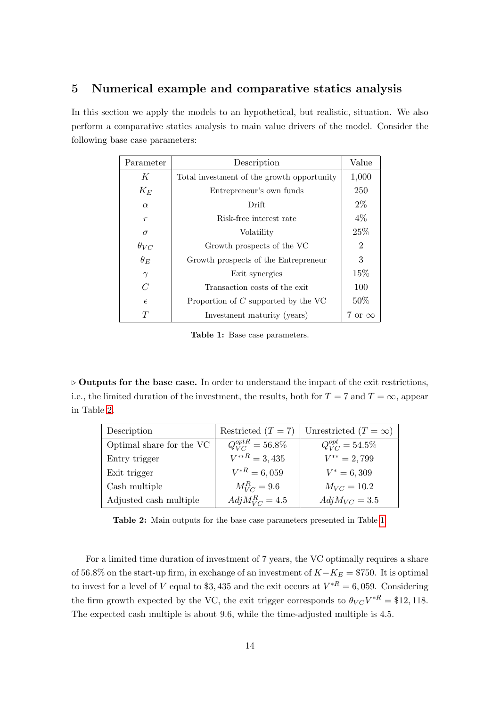# <span id="page-14-0"></span>5 Numerical example and comparative statics analysis

<span id="page-14-2"></span>In this section we apply the models to an hypothetical, but realistic, situation. We also perform a comparative statics analysis to main value drivers of the model. Consider the following base case parameters:

| Parameter        | Description                                | Value          |
|------------------|--------------------------------------------|----------------|
| K                | Total investment of the growth opportunity | 1,000          |
| $K_E$            | Entrepreneur's own funds                   | 250            |
| $\alpha$         | Drift                                      | $2\%$          |
| $\boldsymbol{r}$ | Risk-free interest rate                    | 4%             |
| $\sigma$         | Volatility                                 | 25%            |
| $\theta_{VC}$    | Growth prospects of the VC                 | $\overline{2}$ |
| $\theta_E$       | Growth prospects of the Entrepreneur       | 3              |
| $\gamma$         | Exit synergies                             | 15\%           |
| $\mathcal C$     | Transaction costs of the exit              | 100            |
| $\epsilon$       | Proportion of $C$ supported by the VC      | 50%            |
| $\tau$           | Investment maturity (years)                | 7 or $\infty$  |

Table 1: Base case parameters.

 $\triangleright$  Outputs for the base case. In order to understand the impact of the exit restrictions, i.e., the limited duration of the investment, the results, both for  $T = 7$  and  $T = \infty$ , appear in Table [2.](#page-14-1)

<span id="page-14-1"></span>

| Description              | Restricted $(T = 7)$              | Unrestricted $(T = \infty)$ |
|--------------------------|-----------------------------------|-----------------------------|
| Optimal share for the VC | $\overline{Q}_{VC}^{optR}=56.8\%$ | $Q_{VC}^{opt} = 54.5\%$     |
| Entry trigger            | $V^{**R} = 3,435$                 | $V^{**} = 2,799$            |
| Exit trigger             | $V^{*R} = 6,059$                  | $V^* = 6,309$               |
| Cash multiple            | $M_{VC}^R = 9.6$                  | $M_{VC} = 10.2$             |
| Adjusted cash multiple   | $AdjM_{VC}^R = 4.5$               | $AdjM_{VC} = 3.5$           |

Table 2: Main outputs for the base case parameters presented in Table [1.](#page-14-2)

For a limited time duration of investment of 7 years, the VC optimally requires a share of 56.8% on the start-up firm, in exchange of an investment of  $K-K_E = $750$ . It is optimal to invest for a level of V equal to \$3,435 and the exit occurs at  $V^{*R} = 6,059$ . Considering the firm growth expected by the VC, the exit trigger corresponds to  $\theta_{VC}V^{*R} = $12,118$ . The expected cash multiple is about 9.6, while the time-adjusted multiple is 4.5.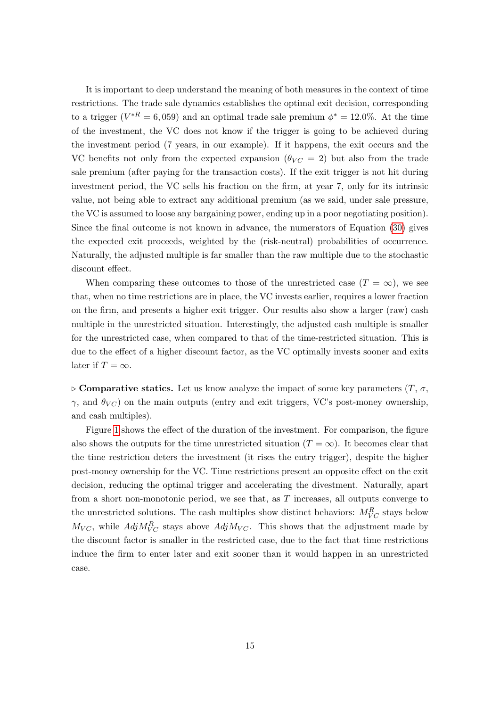It is important to deep understand the meaning of both measures in the context of time restrictions. The trade sale dynamics establishes the optimal exit decision, corresponding to a trigger  $(V^*R = 6,059)$  and an optimal trade sale premium  $\phi^* = 12.0\%$ . At the time of the investment, the VC does not know if the trigger is going to be achieved during the investment period (7 years, in our example). If it happens, the exit occurs and the VC benefits not only from the expected expansion  $(\theta_{VC} = 2)$  but also from the trade sale premium (after paying for the transaction costs). If the exit trigger is not hit during investment period, the VC sells his fraction on the firm, at year 7, only for its intrinsic value, not being able to extract any additional premium (as we said, under sale pressure, the VC is assumed to loose any bargaining power, ending up in a poor negotiating position). Since the final outcome is not known in advance, the numerators of Equation [\(30\)](#page-13-0) gives the expected exit proceeds, weighted by the (risk-neutral) probabilities of occurrence. Naturally, the adjusted multiple is far smaller than the raw multiple due to the stochastic discount effect.

When comparing these outcomes to those of the unrestricted case  $(T = \infty)$ , we see that, when no time restrictions are in place, the VC invests earlier, requires a lower fraction on the firm, and presents a higher exit trigger. Our results also show a larger (raw) cash multiple in the unrestricted situation. Interestingly, the adjusted cash multiple is smaller for the unrestricted case, when compared to that of the time-restricted situation. This is due to the effect of a higher discount factor, as the VC optimally invests sooner and exits later if  $T = \infty$ .

 $\triangleright$  Comparative statics. Let us know analyze the impact of some key parameters  $(T, \sigma,$  $\gamma$ , and  $\theta_{VC}$ ) on the main outputs (entry and exit triggers, VC's post-money ownership, and cash multiples).

Figure [1](#page-16-0) shows the effect of the duration of the investment. For comparison, the figure also shows the outputs for the time unrestricted situation  $(T = \infty)$ . It becomes clear that the time restriction deters the investment (it rises the entry trigger), despite the higher post-money ownership for the VC. Time restrictions present an opposite effect on the exit decision, reducing the optimal trigger and accelerating the divestment. Naturally, apart from a short non-monotonic period, we see that, as  $T$  increases, all outputs converge to the unrestricted solutions. The cash multiples show distinct behaviors:  $M_{VC}^R$  stays below  $M_{VC}$ , while  $AdjM_{VC}^R$  stays above  $AdjM_{VC}$ . This shows that the adjustment made by the discount factor is smaller in the restricted case, due to the fact that time restrictions induce the firm to enter later and exit sooner than it would happen in an unrestricted case.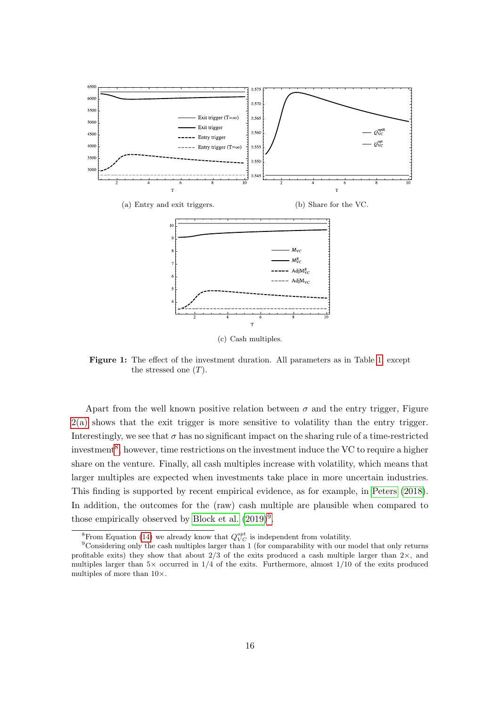<span id="page-16-0"></span>

(c) Cash multiples.

Figure 1: The effect of the investment duration. All parameters as in Table [1,](#page-14-2) except the stressed one  $(T)$ .

Apart from the well known positive relation between  $\sigma$  and the entry trigger, Figure [2\(a\)](#page-17-0) shows that the exit trigger is more sensitive to volatility than the entry trigger. Interestingly, we see that  $\sigma$  has no significant impact on the sharing rule of a time-restricted investment<sup>[8](#page-16-1)</sup>, however, time restrictions on the investment induce the VC to require a higher share on the venture. Finally, all cash multiples increase with volatility, which means that larger multiples are expected when investments take place in more uncertain industries. This finding is supported by recent empirical evidence, as for example, in [Peters](#page-22-15) [\(2018\)](#page-22-15). In addition, the outcomes for the (raw) cash multiple are plausible when compared to those empirically observed by [Block et al.](#page-20-7)  $(2019)^9$  $(2019)^9$  $(2019)^9$ .

<span id="page-16-2"></span><span id="page-16-1"></span><sup>&</sup>lt;sup>8</sup>From Equation [\(14\)](#page-8-1) we already know that  $Q_{VC}^{opt}$  is independent from volatility.

<sup>&</sup>lt;sup>9</sup>Considering only the cash multiples larger than 1 (for comparability with our model that only returns profitable exits) they show that about  $2/3$  of the exits produced a cash multiple larger than  $2\times$ , and multiples larger than  $5 \times$  occurred in  $1/4$  of the exits. Furthermore, almost  $1/10$  of the exits produced multiples of more than 10×.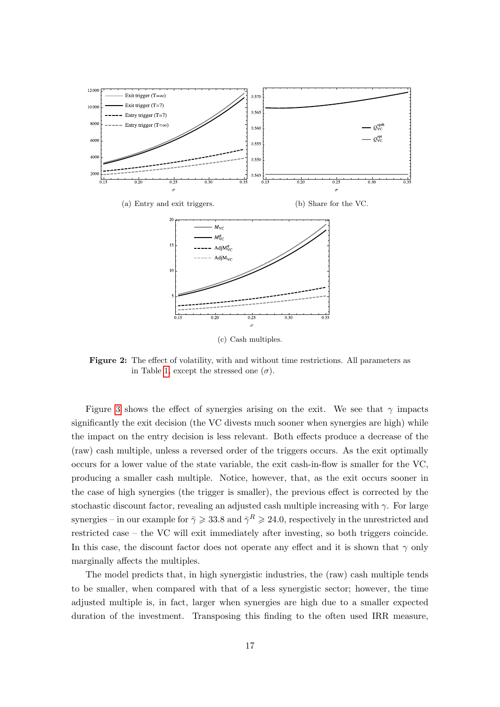<span id="page-17-0"></span>

(c) Cash multiples.

Figure 2: The effect of volatility, with and without time restrictions. All parameters as in Table [1,](#page-14-2) except the stressed one  $(\sigma)$ .

Figure [3](#page-18-0) shows the effect of synergies arising on the exit. We see that  $\gamma$  impacts significantly the exit decision (the VC divests much sooner when synergies are high) while the impact on the entry decision is less relevant. Both effects produce a decrease of the (raw) cash multiple, unless a reversed order of the triggers occurs. As the exit optimally occurs for a lower value of the state variable, the exit cash-in-flow is smaller for the VC, producing a smaller cash multiple. Notice, however, that, as the exit occurs sooner in the case of high synergies (the trigger is smaller), the previous effect is corrected by the stochastic discount factor, revealing an adjusted cash multiple increasing with  $\gamma$ . For large synergies – in our example for  $\bar{\gamma} \geqslant 33.8$  and  $\bar{\gamma}^R \geqslant 24.0$ , respectively in the unrestricted and restricted case – the VC will exit immediately after investing, so both triggers coincide. In this case, the discount factor does not operate any effect and it is shown that  $\gamma$  only marginally affects the multiples.

The model predicts that, in high synergistic industries, the (raw) cash multiple tends to be smaller, when compared with that of a less synergistic sector; however, the time adjusted multiple is, in fact, larger when synergies are high due to a smaller expected duration of the investment. Transposing this finding to the often used IRR measure,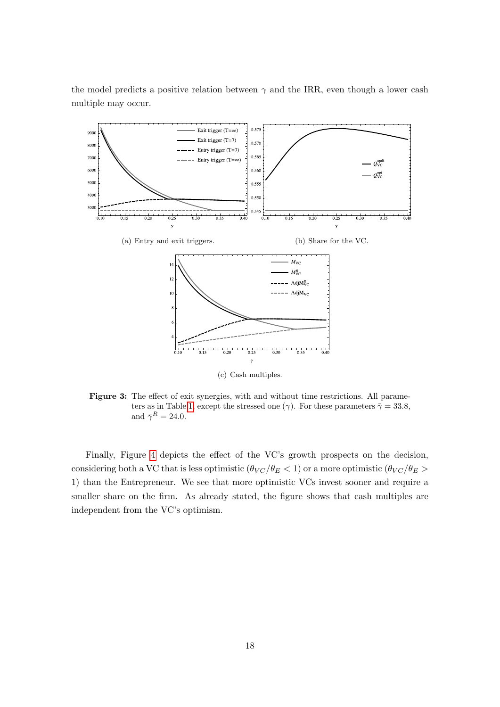the model predicts a positive relation between  $\gamma$  and the IRR, even though a lower cash multiple may occur.

<span id="page-18-0"></span>

Figure 3: The effect of exit synergies, with and without time restrictions. All parame-ters as in Table [1,](#page-14-2) except the stressed one ( $\gamma$ ). For these parameters  $\bar{\gamma} = 33.8$ , and  $\bar{\gamma}^R = 24.0$ .

Finally, Figure [4](#page-19-1) depicts the effect of the VC's growth prospects on the decision, considering both a VC that is less optimistic  $(\theta_{VC}/\theta_E < 1)$  or a more optimistic  $(\theta_{VC}/\theta_E >$ 1) than the Entrepreneur. We see that more optimistic VCs invest sooner and require a smaller share on the firm. As already stated, the figure shows that cash multiples are independent from the VC's optimism.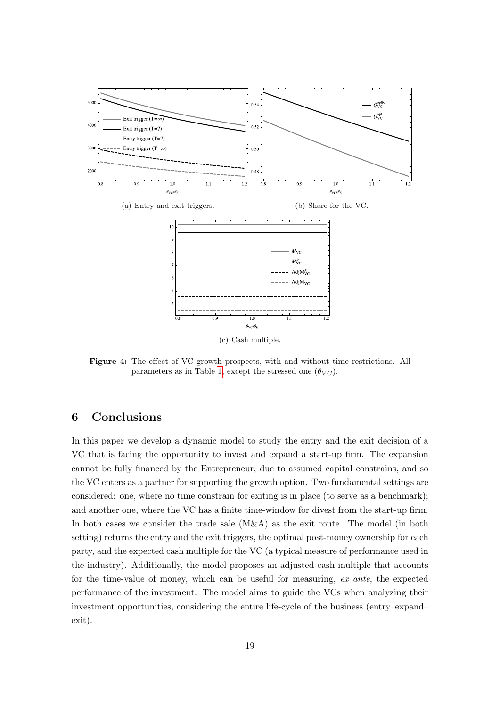<span id="page-19-1"></span>

(c) Cash multiple.

Figure 4: The effect of VC growth prospects, with and without time restrictions. All parameters as in Table [1,](#page-14-2) except the stressed one  $(\theta_{VC})$ .

# <span id="page-19-0"></span>6 Conclusions

In this paper we develop a dynamic model to study the entry and the exit decision of a VC that is facing the opportunity to invest and expand a start-up firm. The expansion cannot be fully financed by the Entrepreneur, due to assumed capital constrains, and so the VC enters as a partner for supporting the growth option. Two fundamental settings are considered: one, where no time constrain for exiting is in place (to serve as a benchmark); and another one, where the VC has a finite time-window for divest from the start-up firm. In both cases we consider the trade sale (M&A) as the exit route. The model (in both setting) returns the entry and the exit triggers, the optimal post-money ownership for each party, and the expected cash multiple for the VC (a typical measure of performance used in the industry). Additionally, the model proposes an adjusted cash multiple that accounts for the time-value of money, which can be useful for measuring, ex ante, the expected performance of the investment. The model aims to guide the VCs when analyzing their investment opportunities, considering the entire life-cycle of the business (entry–expand– exit).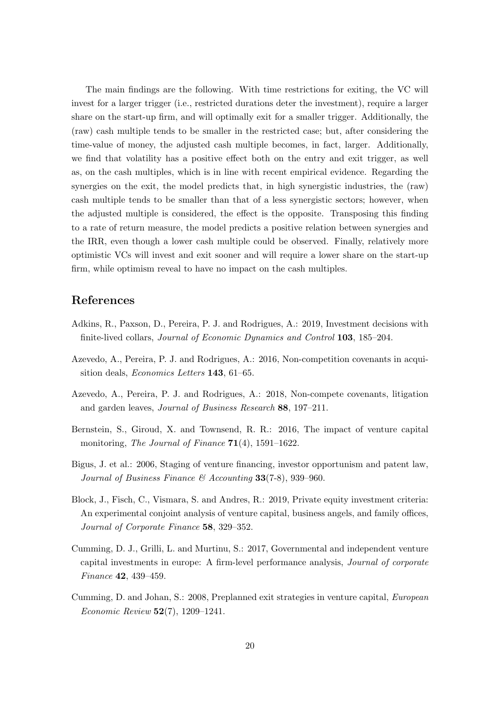The main findings are the following. With time restrictions for exiting, the VC will invest for a larger trigger (i.e., restricted durations deter the investment), require a larger share on the start-up firm, and will optimally exit for a smaller trigger. Additionally, the (raw) cash multiple tends to be smaller in the restricted case; but, after considering the time-value of money, the adjusted cash multiple becomes, in fact, larger. Additionally, we find that volatility has a positive effect both on the entry and exit trigger, as well as, on the cash multiples, which is in line with recent empirical evidence. Regarding the synergies on the exit, the model predicts that, in high synergistic industries, the (raw) cash multiple tends to be smaller than that of a less synergistic sectors; however, when the adjusted multiple is considered, the effect is the opposite. Transposing this finding to a rate of return measure, the model predicts a positive relation between synergies and the IRR, even though a lower cash multiple could be observed. Finally, relatively more optimistic VCs will invest and exit sooner and will require a lower share on the start-up firm, while optimism reveal to have no impact on the cash multiples.

## References

- <span id="page-20-6"></span>Adkins, R., Paxson, D., Pereira, P. J. and Rodrigues, A.: 2019, Investment decisions with finite-lived collars, Journal of Economic Dynamics and Control 103, 185–204.
- <span id="page-20-4"></span>Azevedo, A., Pereira, P. J. and Rodrigues, A.: 2016, Non-competition covenants in acquisition deals, Economics Letters 143, 61–65.
- <span id="page-20-5"></span>Azevedo, A., Pereira, P. J. and Rodrigues, A.: 2018, Non-compete covenants, litigation and garden leaves, Journal of Business Research 88, 197–211.
- <span id="page-20-1"></span>Bernstein, S., Giroud, X. and Townsend, R. R.: 2016, The impact of venture capital monitoring, The Journal of Finance  $71(4)$ , 1591–1622.
- <span id="page-20-2"></span>Bigus, J. et al.: 2006, Staging of venture financing, investor opportunism and patent law, Journal of Business Finance  $\mathcal{B}$  Accounting 33(7-8), 939–960.
- <span id="page-20-7"></span>Block, J., Fisch, C., Vismara, S. and Andres, R.: 2019, Private equity investment criteria: An experimental conjoint analysis of venture capital, business angels, and family offices, Journal of Corporate Finance 58, 329–352.
- <span id="page-20-0"></span>Cumming, D. J., Grilli, L. and Murtinu, S.: 2017, Governmental and independent venture capital investments in europe: A firm-level performance analysis, Journal of corporate Finance 42, 439–459.
- <span id="page-20-3"></span>Cumming, D. and Johan, S.: 2008, Preplanned exit strategies in venture capital, European Economic Review 52(7), 1209–1241.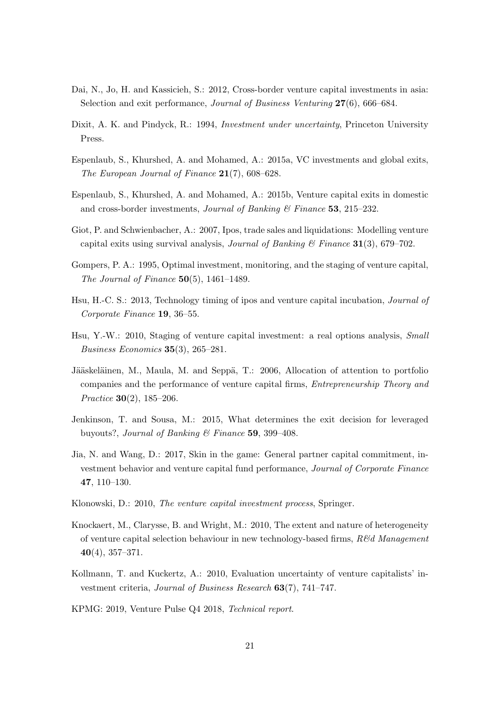- <span id="page-21-8"></span>Dai, N., Jo, H. and Kassicieh, S.: 2012, Cross-border venture capital investments in asia: Selection and exit performance, Journal of Business Venturing 27(6), 666–684.
- <span id="page-21-12"></span>Dixit, A. K. and Pindyck, R.: 1994, Investment under uncertainty, Princeton University Press.
- <span id="page-21-13"></span>Espenlaub, S., Khurshed, A. and Mohamed, A.: 2015a, VC investments and global exits, The European Journal of Finance 21(7), 608–628.
- <span id="page-21-14"></span>Espenlaub, S., Khurshed, A. and Mohamed, A.: 2015b, Venture capital exits in domestic and cross-border investments, *Journal of Banking*  $\&$  Finance 53, 215–232.
- <span id="page-21-4"></span>Giot, P. and Schwienbacher, A.: 2007, Ipos, trade sales and liquidations: Modelling venture capital exits using survival analysis, *Journal of Banking*  $\mathcal{C}$  *Finance* 31(3), 679–702.
- <span id="page-21-3"></span>Gompers, P. A.: 1995, Optimal investment, monitoring, and the staging of venture capital, The Journal of Finance  $50(5)$ , 1461–1489.
- <span id="page-21-6"></span>Hsu, H.-C. S.: 2013, Technology timing of ipos and venture capital incubation, Journal of Corporate Finance 19, 36–55.
- <span id="page-21-11"></span>Hsu, Y.-W.: 2010, Staging of venture capital investment: a real options analysis, Small Business Economics 35(3), 265–281.
- <span id="page-21-7"></span>Jääskeläinen, M., Maula, M. and Seppä, T.: 2006, Allocation of attention to portfolio companies and the performance of venture capital firms, Entrepreneurship Theory and Practice 30(2), 185–206.
- <span id="page-21-5"></span>Jenkinson, T. and Sousa, M.: 2015, What determines the exit decision for leveraged buyouts?, Journal of Banking & Finance 59, 399-408.
- <span id="page-21-9"></span>Jia, N. and Wang, D.: 2017, Skin in the game: General partner capital commitment, investment behavior and venture capital fund performance, Journal of Corporate Finance 47, 110–130.
- <span id="page-21-10"></span>Klonowski, D.: 2010, The venture capital investment process, Springer.
- <span id="page-21-1"></span>Knockaert, M., Clarysse, B. and Wright, M.: 2010, The extent and nature of heterogeneity of venture capital selection behaviour in new technology-based firms,  $R\&d$  Management 40(4), 357–371.
- <span id="page-21-2"></span>Kollmann, T. and Kuckertz, A.: 2010, Evaluation uncertainty of venture capitalists' investment criteria, Journal of Business Research 63(7), 741–747.
- <span id="page-21-0"></span>KPMG: 2019, Venture Pulse Q4 2018, Technical report.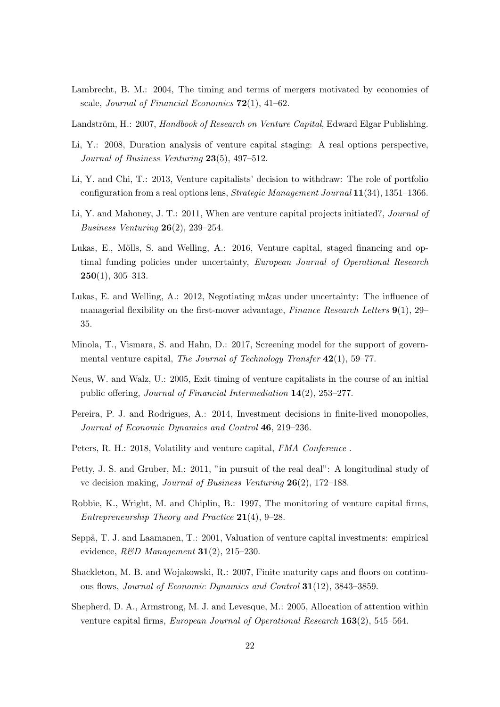- <span id="page-22-11"></span>Lambrecht, B. M.: 2004, The timing and terms of mergers motivated by economies of scale, Journal of Financial Economics  $72(1)$ , 41–62.
- <span id="page-22-7"></span>Landström, H.: 2007, Handbook of Research on Venture Capital, Edward Elgar Publishing.
- <span id="page-22-4"></span>Li, Y.: 2008, Duration analysis of venture capital staging: A real options perspective, Journal of Business Venturing  $23(5)$ , 497-512.
- <span id="page-22-10"></span>Li, Y. and Chi, T.: 2013, Venture capitalists' decision to withdraw: The role of portfolio configuration from a real options lens, *Strategic Management Journal*  $11(34)$ , 1351–1366.
- <span id="page-22-9"></span>Li, Y. and Mahoney, J. T.: 2011, When are venture capital projects initiated?, Journal of Business Venturing 26(2), 239–254.
- <span id="page-22-5"></span>Lukas, E., Mölls, S. and Welling, A.: 2016, Venture capital, staged financing and optimal funding policies under uncertainty, *European Journal of Operational Research*  $250(1)$ , 305-313.
- <span id="page-22-12"></span>Lukas, E. and Welling, A.: 2012, Negotiating m&as under uncertainty: The influence of managerial flexibility on the first-mover advantage, Finance Research Letters  $9(1)$ , 29– 35.
- <span id="page-22-1"></span>Minola, T., Vismara, S. and Hahn, D.: 2017, Screening model for the support of governmental venture capital, The Journal of Technology Transfer 42(1), 59–77.
- <span id="page-22-6"></span>Neus, W. and Walz, U.: 2005, Exit timing of venture capitalists in the course of an initial public offering, Journal of Financial Intermediation 14(2), 253–277.
- <span id="page-22-14"></span>Pereira, P. J. and Rodrigues, A.: 2014, Investment decisions in finite-lived monopolies, Journal of Economic Dynamics and Control 46, 219–236.
- <span id="page-22-15"></span>Peters, R. H.: 2018, Volatility and venture capital, FMA Conference.
- <span id="page-22-0"></span>Petty, J. S. and Gruber, M.: 2011, "in pursuit of the real deal": A longitudinal study of vc decision making, Journal of Business Venturing 26(2), 172–188.
- <span id="page-22-2"></span>Robbie, K., Wright, M. and Chiplin, B.: 1997, The monitoring of venture capital firms, Entrepreneurship Theory and Practice 21(4), 9–28.
- <span id="page-22-8"></span>Seppä, T. J. and Laamanen, T.: 2001, Valuation of venture capital investments: empirical evidence,  $R\&D$  Management 31(2), 215-230.
- <span id="page-22-13"></span>Shackleton, M. B. and Wojakowski, R.: 2007, Finite maturity caps and floors on continuous flows, Journal of Economic Dynamics and Control 31(12), 3843–3859.
- <span id="page-22-3"></span>Shepherd, D. A., Armstrong, M. J. and Levesque, M.: 2005, Allocation of attention within venture capital firms, European Journal of Operational Research 163(2), 545–564.